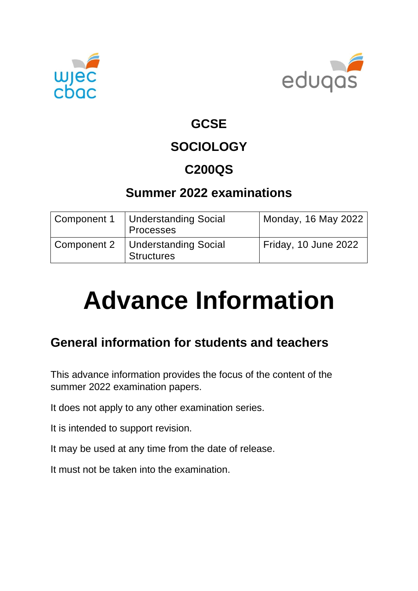



### **GCSE**

# **SOCIOLOGY**

## **C200QS**

## **Summer 2022 examinations**

| Component 1 | Understanding Social<br><b>Processes</b>        | Monday, 16 May 2022  |
|-------------|-------------------------------------------------|----------------------|
| Component 2 | Understanding Social<br>Structures <sup>'</sup> | Friday, 10 June 2022 |

# **Advance Information**

## **General information for students and teachers**

This advance information provides the focus of the content of the summer 2022 examination papers.

It does not apply to any other examination series.

It is intended to support revision.

It may be used at any time from the date of release.

It must not be taken into the examination.